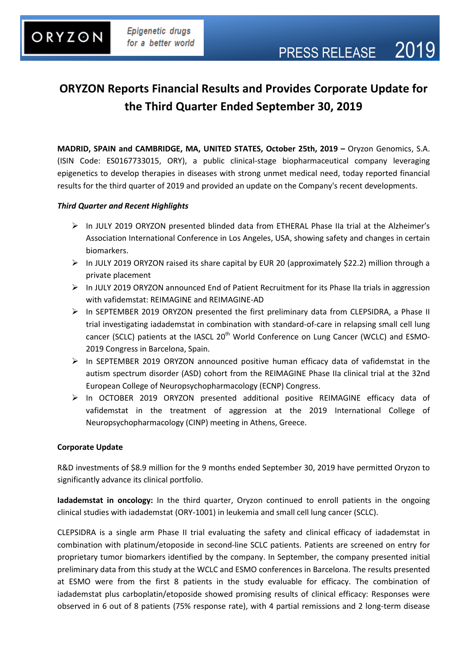### **ORYZON Reports Financial Results and Provides Corporate Update for the Third Quarter Ended September 30, 2019**

**MADRID, SPAIN and CAMBRIDGE, MA, UNITED STATES, October 25th, 2019 –** Oryzon Genomics, S.A. (ISIN Code: ES0167733015, ORY), a public clinical-stage biopharmaceutical company leveraging epigenetics to develop therapies in diseases with strong unmet medical need, today reported financial results for the third quarter of 2019 and provided an update on the Company's recent developments.

### *Third Quarter and Recent Highlights*

- $\triangleright$  In JULY 2019 ORYZON presented blinded data from ETHERAL Phase IIa trial at the Alzheimer's Association International Conference in Los Angeles, USA, showing safety and changes in certain biomarkers.
- $\triangleright$  In JULY 2019 ORYZON raised its share capital by EUR 20 (approximately \$22.2) million through a private placement
- In JULY 2019 ORYZON announced End of Patient Recruitment for its Phase IIa trials in aggression with vafidemstat: REIMAGINE and REIMAGINE-AD
- $\triangleright$  In SEPTEMBER 2019 ORYZON presented the first preliminary data from CLEPSIDRA, a Phase II trial investigating iadademstat in combination with standard-of-care in relapsing small cell lung cancer (SCLC) patients at the IASCL 20<sup>th</sup> World Conference on Lung Cancer (WCLC) and ESMO-2019 Congress in Barcelona, Spain.
- $\triangleright$  In SEPTEMBER 2019 ORYZON announced positive human efficacy data of vafidemstat in the autism spectrum disorder (ASD) cohort from the REIMAGINE Phase IIa clinical trial at the 32nd European College of Neuropsychopharmacology (ECNP) Congress.
- > In OCTOBER 2019 ORYZON presented additional positive REIMAGINE efficacy data of vafidemstat in the treatment of aggression at the 2019 International College of Neuropsychopharmacology (CINP) meeting in Athens, Greece.

### **Corporate Update**

R&D investments of \$8.9 million for the 9 months ended September 30, 2019 have permitted Oryzon to significantly advance its clinical portfolio.

**Iadademstat in oncology:** In the third quarter, Oryzon continued to enroll patients in the ongoing clinical studies with iadademstat (ORY-1001) in leukemia and small cell lung cancer (SCLC).

CLEPSIDRA is a single arm Phase II trial evaluating the safety and clinical efficacy of iadademstat in combination with platinum/etoposide in second-line SCLC patients. Patients are screened on entry for proprietary tumor biomarkers identified by the company. In September, the company presented initial preliminary data from this study at the WCLC and ESMO conferences in Barcelona. The results presented at ESMO were from the first 8 patients in the study evaluable for efficacy. The combination of iadademstat plus carboplatin/etoposide showed promising results of clinical efficacy: Responses were observed in 6 out of 8 patients (75% response rate), with 4 partial remissions and 2 long-term disease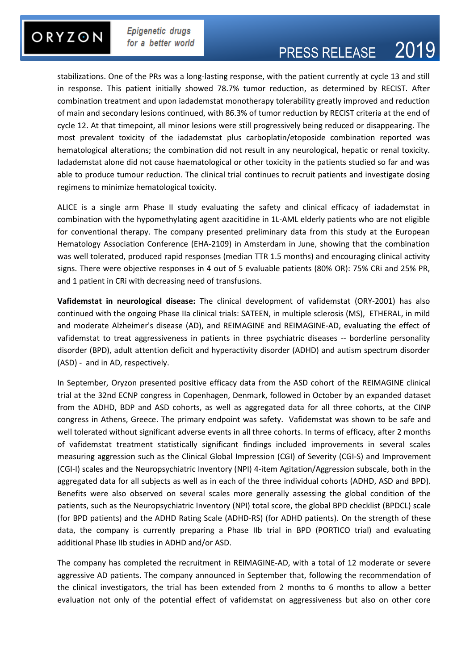### ORYZON

Epigenetic drugs for a better world

# PRESS RELEASE 2019

stabilizations. One of the PRs was a long-lasting response, with the patient currently at cycle 13 and still in response. This patient initially showed 78.7% tumor reduction, as determined by RECIST. After combination treatment and upon iadademstat monotherapy tolerability greatly improved and reduction of main and secondary lesions continued, with 86.3% of tumor reduction by RECIST criteria at the end of cycle 12. At that timepoint, all minor lesions were still progressively being reduced or disappearing. The most prevalent toxicity of the iadademstat plus carboplatin/etoposide combination reported was hematological alterations; the combination did not result in any neurological, hepatic or renal toxicity. Iadademstat alone did not cause haematological or other toxicity in the patients studied so far and was able to produce tumour reduction. The clinical trial continues to recruit patients and investigate dosing regimens to minimize hematological toxicity.

ALICE is a single arm Phase II study evaluating the safety and clinical efficacy of iadademstat in combination with the hypomethylating agent azacitidine in 1L-AML elderly patients who are not eligible for conventional therapy. The company presented preliminary data from this study at the European Hematology Association Conference (EHA-2109) in Amsterdam in June, showing that the combination was well tolerated, produced rapid responses (median TTR 1.5 months) and encouraging clinical activity signs. There were objective responses in 4 out of 5 evaluable patients (80% OR): 75% CRi and 25% PR, and 1 patient in CRi with decreasing need of transfusions.

**Vafidemstat in neurological disease:** The clinical development of vafidemstat (ORY-2001) has also continued with the ongoing Phase IIa clinical trials: SATEEN, in multiple sclerosis (MS), ETHERAL, in mild and moderate Alzheimer's disease (AD), and REIMAGINE and REIMAGINE-AD, evaluating the effect of vafidemstat to treat aggressiveness in patients in three psychiatric diseases -- borderline personality disorder (BPD), adult attention deficit and hyperactivity disorder (ADHD) and autism spectrum disorder (ASD) - and in AD, respectively.

In September, Oryzon presented positive efficacy data from the ASD cohort of the REIMAGINE clinical trial at the 32nd ECNP congress in Copenhagen, Denmark, followed in October by an expanded dataset from the ADHD, BDP and ASD cohorts, as well as aggregated data for all three cohorts, at the CINP congress in Athens, Greece. The primary endpoint was safety. Vafidemstat was shown to be safe and well tolerated without significant adverse events in all three cohorts. In terms of efficacy, after 2 months of vafidemstat treatment statistically significant findings included improvements in several scales measuring aggression such as the Clinical Global Impression (CGI) of Severity (CGI-S) and Improvement (CGI-I) scales and the Neuropsychiatric Inventory (NPI) 4-item Agitation/Aggression subscale, both in the aggregated data for all subjects as well as in each of the three individual cohorts (ADHD, ASD and BPD). Benefits were also observed on several scales more generally assessing the global condition of the patients, such as the Neuropsychiatric Inventory (NPI) total score, the global BPD checklist (BPDCL) scale (for BPD patients) and the ADHD Rating Scale (ADHD-RS) (for ADHD patients). On the strength of these data, the company is currently preparing a Phase IIb trial in BPD (PORTICO trial) and evaluating additional Phase IIb studies in ADHD and/or ASD.

The company has completed the recruitment in REIMAGINE-AD, with a total of 12 moderate or severe aggressive AD patients. The company announced in September that, following the recommendation of the clinical investigators, the trial has been extended from 2 months to 6 months to allow a better evaluation not only of the potential effect of vafidemstat on aggressiveness but also on other core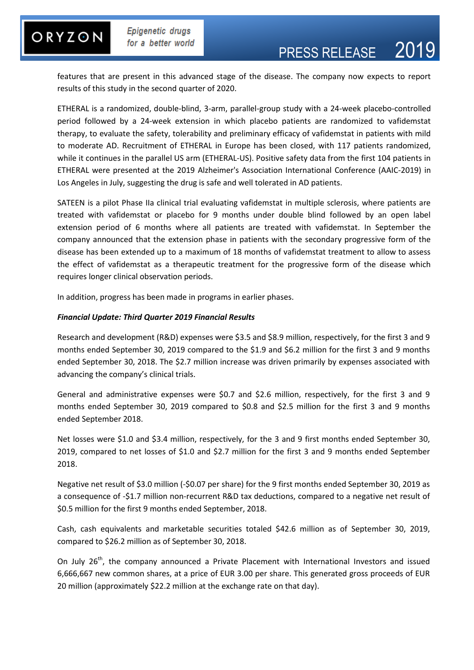### ORYZON

Epigenetic drugs for a better world

## PRESS RELEASE 2019

features that are present in this advanced stage of the disease. The company now expects to report results of this study in the second quarter of 2020.

ETHERAL is a randomized, double-blind, 3-arm, parallel-group study with a 24-week placebo-controlled period followed by a 24-week extension in which placebo patients are randomized to vafidemstat therapy, to evaluate the safety, tolerability and preliminary efficacy of vafidemstat in patients with mild to moderate AD. Recruitment of ETHERAL in Europe has been closed, with 117 patients randomized, while it continues in the parallel US arm (ETHERAL-US). Positive safety data from the first 104 patients in ETHERAL were presented at the 2019 Alzheimer's Association International Conference (AAIC-2019) in Los Angeles in July, suggesting the drug is safe and well tolerated in AD patients.

SATEEN is a pilot Phase IIa clinical trial evaluating vafidemstat in multiple sclerosis, where patients are treated with vafidemstat or placebo for 9 months under double blind followed by an open label extension period of 6 months where all patients are treated with vafidemstat. In September the company announced that the extension phase in patients with the secondary progressive form of the disease has been extended up to a maximum of 18 months of vafidemstat treatment to allow to assess the effect of vafidemstat as a therapeutic treatment for the progressive form of the disease which requires longer clinical observation periods.

In addition, progress has been made in programs in earlier phases.

### *Financial Update: Third Quarter 2019 Financial Results*

Research and development (R&D) expenses were \$3.5 and \$8.9 million, respectively, for the first 3 and 9 months ended September 30, 2019 compared to the \$1.9 and \$6.2 million for the first 3 and 9 months ended September 30, 2018. The \$2.7 million increase was driven primarily by expenses associated with advancing the company's clinical trials.

General and administrative expenses were \$0.7 and \$2.6 million, respectively, for the first 3 and 9 months ended September 30, 2019 compared to \$0.8 and \$2.5 million for the first 3 and 9 months ended September 2018.

Net losses were \$1.0 and \$3.4 million, respectively, for the 3 and 9 first months ended September 30, 2019, compared to net losses of \$1.0 and \$2.7 million for the first 3 and 9 months ended September 2018.

Negative net result of \$3.0 million (-\$0.07 per share) for the 9 first months ended September 30, 2019 as a consequence of -\$1.7 million non-recurrent R&D tax deductions, compared to a negative net result of \$0.5 million for the first 9 months ended September, 2018.

Cash, cash equivalents and marketable securities totaled \$42.6 million as of September 30, 2019, compared to \$26.2 million as of September 30, 2018.

On July 26<sup>th</sup>, the company announced a Private Placement with International Investors and issued 6,666,667 new common shares, at a price of EUR 3.00 per share. This generated gross proceeds of EUR 20 million (approximately \$22.2 million at the exchange rate on that day).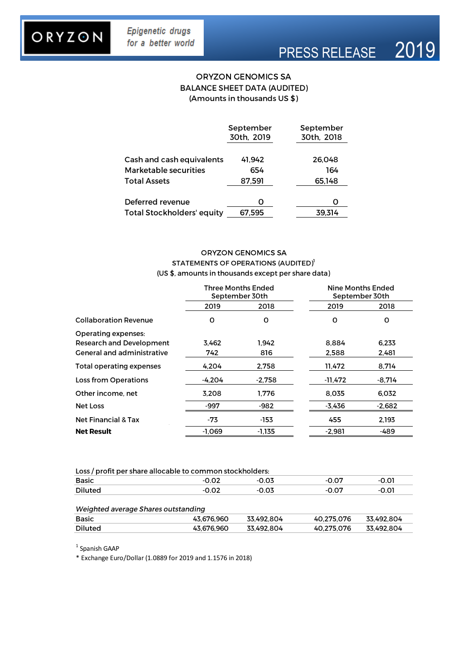### ORYZON

## PRESS RELEASE 2019

### **ORYZON GENOMICS SA BALANCE SHEET DATA (AUDITED)** (Amounts in thousands US \$)

|                                   | September<br>30th, 2019 | September<br>30th, 2018 |
|-----------------------------------|-------------------------|-------------------------|
| Cash and cash equivalents         | 41.942                  | 26.048                  |
| <b>Marketable securities</b>      | 654                     | 164                     |
| <b>Total Assets</b>               | 87.591                  | 65.148                  |
|                                   |                         |                         |
| Deferred revenue                  | O                       |                         |
| <b>Total Stockholders' equity</b> | 67.595                  | 39.314                  |

### ORYZON GENOMICS SA STATEMENTS OF OPERATIONS (AUDITED)<sup>1</sup> (US \$, amounts in thousands except per share data)

|                                   | Three Months Ended<br>September 30th |          |          | <b>Nine Months Ended</b><br>September 30th |
|-----------------------------------|--------------------------------------|----------|----------|--------------------------------------------|
|                                   | 2019                                 | 2018     | 2019     | 2018                                       |
| <b>Collaboration Revenue</b>      | o                                    | o        | 0        | 0                                          |
| <b>Operating expenses:</b>        |                                      |          |          |                                            |
| <b>Research and Development</b>   | 3.462                                | 1.942    | 8.884    | 6.233                                      |
| <b>General and administrative</b> | 742.                                 | 816      | 2.588    | 2.481                                      |
| <b>Total operating expenses</b>   | 4.204                                | 2.758    | 11,472   | 8,714                                      |
| Loss from Operations              | -4.204                               | $-2.758$ | -11,472  | $-8.714$                                   |
| Other income, net                 | 3.208                                | 1.776    | 8,035    | 6.032                                      |
| Net Loss                          | -997                                 | -982     | $-3.436$ | $-2.682$                                   |
| <b>Net Financial &amp; Tax</b>    | -73                                  | -153     | 455      | 2.193                                      |
| <b>Net Result</b>                 | $-1,069$                             | -1,135   | $-2,981$ | -489                                       |

| Loss / profit per share allocable to common stockholders: |       |       |       |       |  |  |
|-----------------------------------------------------------|-------|-------|-------|-------|--|--|
| <b>Basic</b>                                              | -0.02 | -0.03 | -0.07 | -0.01 |  |  |
| Diluted                                                   | -0.02 | -0.03 | -0.07 | -0.01 |  |  |
|                                                           |       |       |       |       |  |  |

### Weighted average Shares outstanding

| <b>Basic</b>   | 43.676.960 | 33.492.804 | 40.275.076 | 33.492.804 |
|----------------|------------|------------|------------|------------|
| <b>Diluted</b> | 43.676.960 | 33.492.804 | 40.275.076 | 33.492.804 |

<sup>1</sup> Spanish GAAP

\* Exchange Euro/Dollar (1.0889 for 2019 and 1.1576 in 2018)